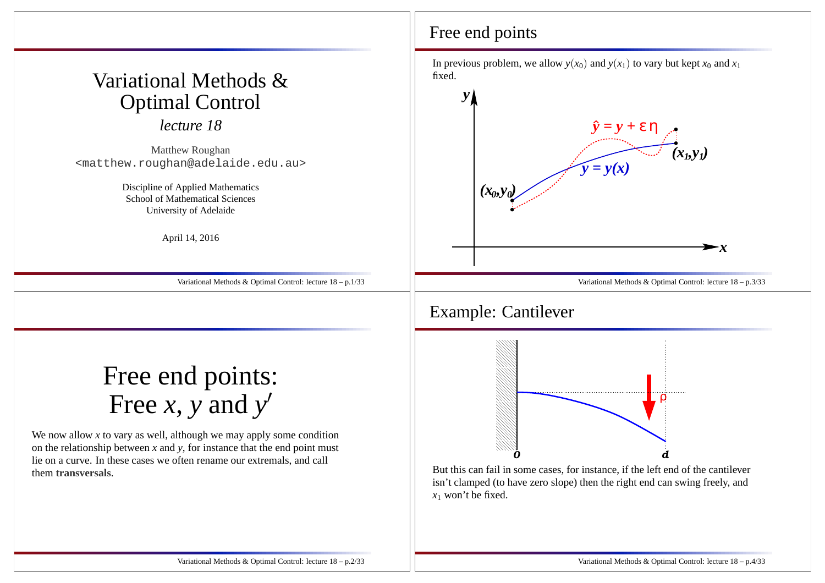# Variational Methods &Optimal Control

*lecture 18*

Matthew Roughan<matthew.roughan@adelaide.edu.au>

> Discipline of Applied Mathematics School of Mathematical SciencesUniversity of Adelaide

> > April 14, 2016

Variational Methods & Optimal Control: lecture 18 – p.1/33

# Free end points:Free *<sup>x</sup>*, *<sup>y</sup>* and *<sup>y</sup>*′

We now allow *<sup>x</sup>* to vary as well, although we may apply some condition on the relationship between *<sup>x</sup>* and *<sup>y</sup>*, for instance that the end point must lie on <sup>a</sup> curve. In these cases we often rename our extremals, and callthem **transversals**.

#### Free end points

In previous problem, we allow  $y(x_0)$  and  $y(x_1)$  to vary but kept  $x_0$  and  $x_1$ fixed.



 isn't clamped (to have zero slope) then the right end can swing freely, and*x*1 won't be fixed.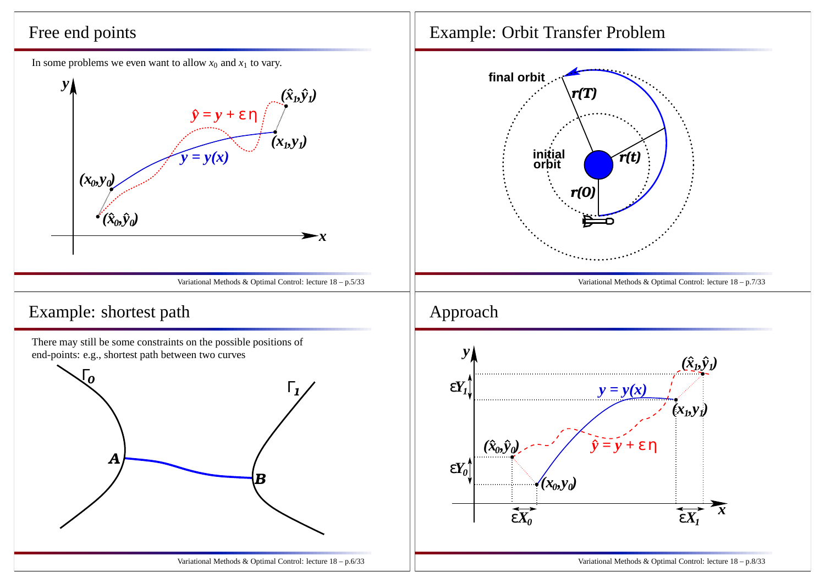#### Free end points

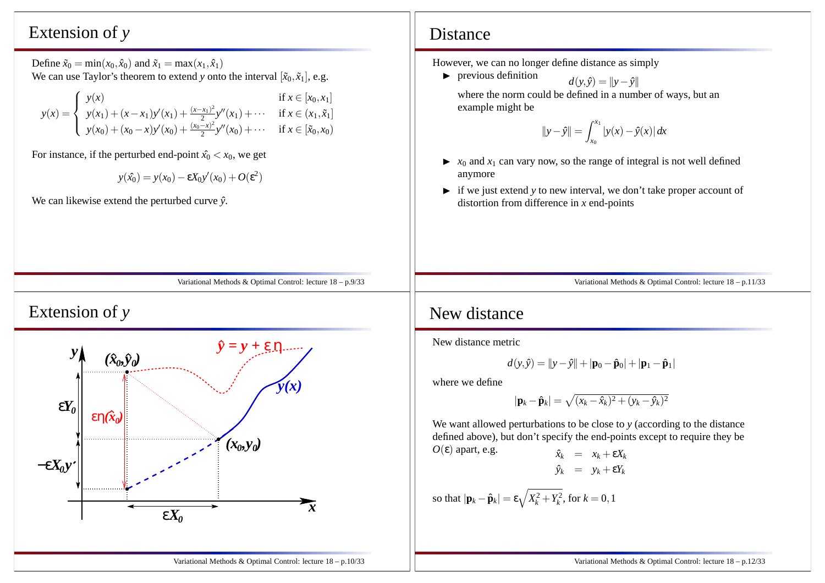#### Extension of *y*

Define  $\tilde{x}_0 = \min(x_0, \hat{x}_0)$  and  $\tilde{x}_1 = \max(x_1, \hat{x}_1)$ We can use Taylor's theorem to extend *y* onto the interval  $[\tilde{x}_0, \tilde{x}_1]$ , e.g.

| $\int y(x)$                                                                                                                                                                                                                                             | if $x \in [x_0, x_1]$ |
|---------------------------------------------------------------------------------------------------------------------------------------------------------------------------------------------------------------------------------------------------------|-----------------------|
|                                                                                                                                                                                                                                                         |                       |
| $y(x) = \begin{cases} y(x_1) + (x - x_1)y'(x_1) + \frac{(x - x_1)^2}{2}y''(x_1) + \cdots & \text{if } x \in (x_1, \tilde{x}_1] \\ y(x_0) + (x_0 - x)y'(x_0) + \frac{(x_0 - x)^2}{2}y''(x_0) + \cdots & \text{if } x \in [\tilde{x}_0, x_0] \end{cases}$ |                       |
|                                                                                                                                                                                                                                                         |                       |

For instance, if the perturbed end-point  $\hat{x_0} < x_0$ , we get

$$
y(\hat{x_0}) = y(x_0) - \varepsilon X_0 y'(x_0) + O(\varepsilon^2)
$$

We can likewise extend the perturbed curve  $\hat{v}$ .

#### Variational Methods & Optimal Control: lecture 18 – p.9/33

# Extension of *y*



#### Distance

However, we can no longer define distance as simply

 $\blacktriangleright$  previous definition  $d(y,$  *<sup>y</sup>*<sup>ˆ</sup>) <sup>=</sup> ||*<sup>y</sup>*−*y*<sup>ˆ</sup>|| where the norm could be defined in <sup>a</sup> number of ways, but anexample might be

$$
\|y - \hat{y}\| = \int_{x_0}^{x_1} |y(x) - \hat{y}(x)| dx
$$

- $\triangleright$  *x*<sub>0</sub> and *x*<sub>1</sub> can vary now, so the range of integral is not well defined anymore
- ► if we just extend *y* to new interval, we don't take proper account of distortion from difference in *<sup>x</sup>* end-points

Variational Methods & Optimal Control: lecture 18 – p.11/33

#### New distance

New distance metric

$$
d(y,\hat{y}) = ||y-\hat{y}|| + |\mathbf{p}_0 - \hat{\mathbf{p}}_0| + |\mathbf{p}_1 - \hat{\mathbf{p}}_1|
$$

where we define

$$
|\mathbf{p}_k - \hat{\mathbf{p}}_k| = \sqrt{(x_k - \hat{x}_k)^2 + (y_k - \hat{y}_k)^2}
$$

We want allowed perturbations to be close to *<sup>y</sup>* (according to the distance defined above), but don't specify the end-points excep<sup>t</sup> to require they be $O(\varepsilon)$  apart, e.g.  $\hat{x}_k$ 

$$
\hat{x}_k = x_k + \varepsilon X_k
$$
  

$$
\hat{y}_k = y_k + \varepsilon Y_k
$$

so that 
$$
|\mathbf{p}_k - \hat{\mathbf{p}}_k| = \varepsilon \sqrt{X_k^2 + Y_k^2}
$$
, for  $k = 0, 1$ 

Variational Methods & Optimal Control: lecture 18 – p.12/33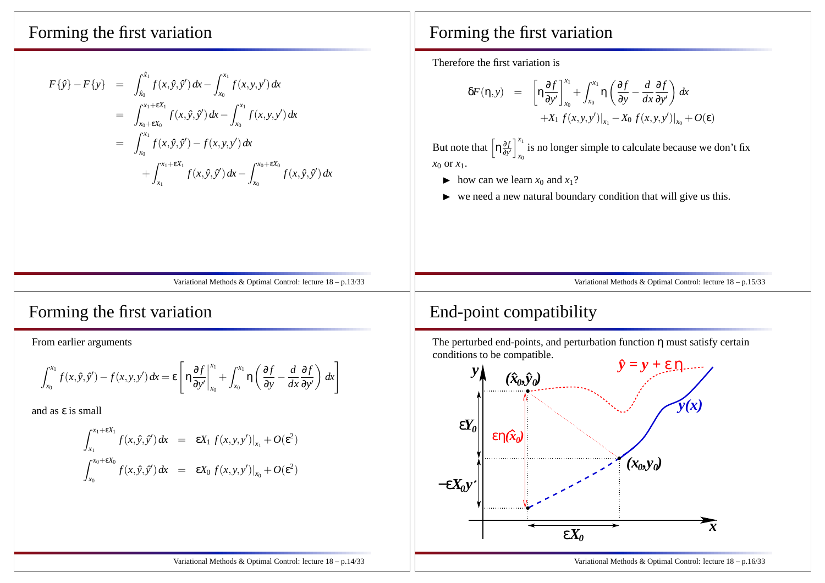#### Forming the first variation

$$
F\{\hat{y}\} - F\{y\} = \int_{\hat{x}_0}^{\hat{x}_1} f(x, \hat{y}, \hat{y}') dx - \int_{x_0}^{x_1} f(x, y, y') dx
$$
  
\n
$$
= \int_{x_0 + \epsilon X_0}^{x_1 + \epsilon X_1} f(x, \hat{y}, \hat{y}') dx - \int_{x_0}^{x_1} f(x, y, y') dx
$$
  
\n
$$
= \int_{x_0}^{x_1} f(x, \hat{y}, \hat{y}') - f(x, y, y') dx
$$
  
\n
$$
+ \int_{x_1}^{x_1 + \epsilon X_1} f(x, \hat{y}, \hat{y}') dx - \int_{x_0}^{x_0 + \epsilon X_0} f(x, \hat{y}, \hat{y}') dx
$$

#### Variational Methods & Optimal Control: lecture 18 – p.13/33

#### Forming the first variation

From earlier arguments

$$
\int_{x_0}^{x_1} f(x, \hat{y}, \hat{y}') - f(x, y, y') dx = \varepsilon \left[ \eta \frac{\partial f}{\partial y'} \Big|_{x_0}^{x_1} + \int_{x_0}^{x_1} \eta \left( \frac{\partial f}{\partial y} - \frac{d}{dx} \frac{\partial f}{\partial y'} \right) dx \right]
$$

and as <sup>ε</sup> is small

$$
\int_{x_1}^{x_1 + \epsilon X_1} f(x, \hat{y}, \hat{y}') dx = \epsilon X_1 f(x, y, y')|_{x_1} + O(\epsilon^2)
$$
  

$$
\int_{x_0}^{x_0 + \epsilon X_0} f(x, \hat{y}, \hat{y}') dx = \epsilon X_0 f(x, y, y')|_{x_0} + O(\epsilon^2)
$$

#### Forming the first variation

Therefore the first variation is

$$
\delta F(\eta, y) = \left[ \eta \frac{\partial f}{\partial y'} \right]_{x_0}^{x_1} + \int_{x_0}^{x_1} \eta \left( \frac{\partial f}{\partial y} - \frac{d}{dx} \frac{\partial f}{\partial y'} \right) dx + X_1 f(x, y, y') \Big|_{x_1} - X_0 f(x, y, y') \Big|_{x_0} + O(\varepsilon)
$$

But note that  $\left[\eta \frac{\partial f}{\partial y'}\right]_{x_0}^{x_1}$  is no longer simple to calculate because we don't fix *x*0 or *<sup>x</sup>*1.

- $\blacktriangleright$  how can we learn  $x_0$  and  $x_1$ ?
- $\triangleright$  we need a new natural boundary condition that will give us this.

Variational Methods & Optimal Control: lecture 18 – p.15/33

#### End-point compatibility

The perturbed end-points, and perturbation function  $\eta$  must satisfy certain conditions to be compatible.

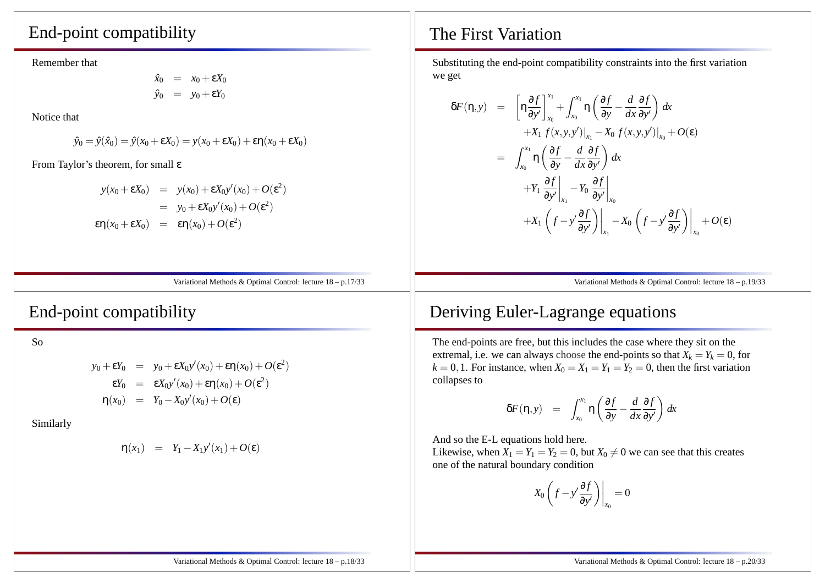#### End-point compatibility

Remember that

$$
\hat{x}_0 = x_0 + \varepsilon X_0
$$
  

$$
\hat{y}_0 = y_0 + \varepsilon Y_0
$$

Notice that

$$
\hat{y}_0 = \hat{y}(\hat{x}_0) = \hat{y}(x_0 + \varepsilon X_0) = y(x_0 + \varepsilon X_0) + \varepsilon \eta(x_0 + \varepsilon X_0)
$$

From Taylor's theorem, for small <sup>ε</sup>

$$
y(x_0 + \varepsilon X_0) = y(x_0) + \varepsilon X_0 y'(x_0) + O(\varepsilon^2)
$$
  
=  $y_0 + \varepsilon X_0 y'(x_0) + O(\varepsilon^2)$   

$$
\varepsilon \eta(x_0 + \varepsilon X_0) = \varepsilon \eta(x_0) + O(\varepsilon^2)
$$

Variational Methods & Optimal Control: lecture 18 – p.17/33

End-point compatibility

So

$$
y_0 + \varepsilon Y_0 = y_0 + \varepsilon X_0 y'(x_0) + \varepsilon \eta(x_0) + O(\varepsilon^2)
$$
  
\n
$$
\varepsilon Y_0 = \varepsilon X_0 y'(x_0) + \varepsilon \eta(x_0) + O(\varepsilon^2)
$$
  
\n
$$
\eta(x_0) = Y_0 - X_0 y'(x_0) + O(\varepsilon)
$$

Similarly

$$
\eta(x_1) = Y_1 - X_1 y'(x_1) + O(\epsilon)
$$

#### The First Variation

Substituting the end-point compatibility constraints into the first variationwe get

$$
\delta F(\eta, y) = \left[ \eta \frac{\partial f}{\partial y'} \right]_{x_0}^{x_1} + \int_{x_0}^{x_1} \eta \left( \frac{\partial f}{\partial y} - \frac{d}{dx} \frac{\partial f}{\partial y'} \right) dx \n+ X_1 f(x, y, y')|_{x_1} - X_0 f(x, y, y')|_{x_0} + O(\varepsilon) \n= \int_{x_0}^{x_1} \eta \left( \frac{\partial f}{\partial y} - \frac{d}{dx} \frac{\partial f}{\partial y'} \right) dx \n+ Y_1 \frac{\partial f}{\partial y'} \Big|_{x_1} - Y_0 \frac{\partial f}{\partial y'} \Big|_{x_0} \n+ X_1 \left( f - y' \frac{\partial f}{\partial y'} \right) \Big|_{x_1} - X_0 \left( f - y' \frac{\partial f}{\partial y'} \right) \Big|_{x_0} + O(\varepsilon)
$$

Variational Methods & Optimal Control: lecture 18 – p.19/33

#### Deriving Euler-Lagrange equations

The end-points are free, but this includes the case where they sit on theextremal, i.e. we can always choose the end-points so that  $X_k = Y_k = 0$ , for  $k = 0, 1$ . For instance, when  $X_0 = X_1 = Y_1 = Y_2 = 0$ , then the first variation collapses to

$$
\delta F(\eta, y) = \int_{x_0}^{x_1} \eta \left( \frac{\partial f}{\partial y} - \frac{d}{dx} \frac{\partial f}{\partial y'} \right) dx
$$

And so the E-L equations hold here.

Likewise, when  $X_1 = Y_1 = Y_2 = 0$ , but  $X_0 \neq 0$  we can see that this creates one of the natural boundary condition

$$
X_0\left(f - y'\frac{\partial f}{\partial y'}\right)\bigg|_{x_0} = 0
$$

Variational Methods & Optimal Control: lecture 18 – p.18/33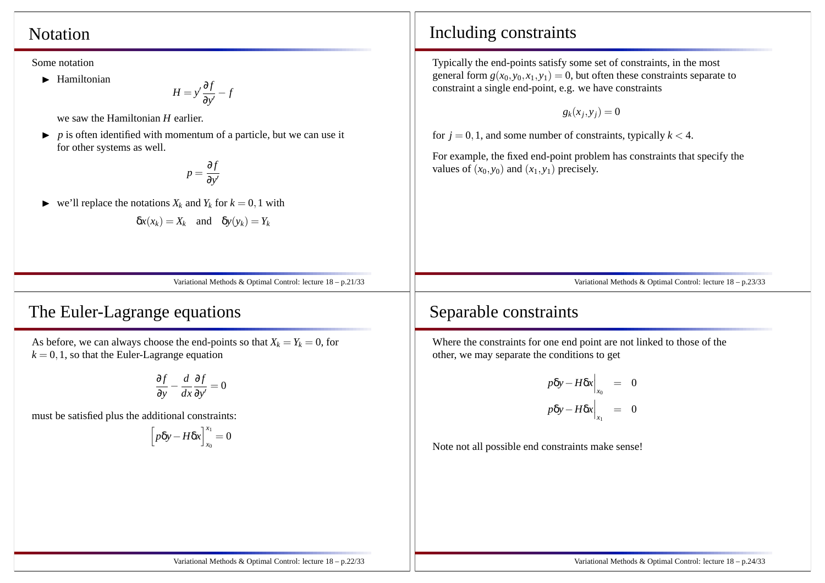#### Notation

Some notation

 $\blacktriangleright$  Hamiltonian

 $H = y' \frac{\partial f}{\partial y'} - f$ 

we saw the Hamiltonian *<sup>H</sup>* earlier.

 $\triangleright$  *p* is often identified with momentum of a particle, but we can use it for other systems as well.

$$
p = \frac{\partial f}{\partial y'}
$$

 $\blacktriangleright$ we'll replace the notations  $X_k$  and  $Y_k$  for  $k = 0, 1$  with

$$
\delta x(x_k) = X_k \quad \text{and} \quad \delta y(y_k) = Y_k
$$

Variational Methods & Optimal Control: lecture 18 – p.21/33

## The Euler-Lagrange equations

As before, we can always choose the end-points so that  $X_k = Y_k = 0$ , for  $k = 0, 1$ , so that the Euler-Lagrange equation

$$
\frac{\partial f}{\partial y} - \frac{d}{dx} \frac{\partial f}{\partial y'} = 0
$$

must be satisfied plus the additional constraints:

$$
\left[p\delta y - H \delta x\right]_{x_0}^{x_1} = 0
$$

#### Including constraints

Typically the end-points satisfy some set of constraints, in the mostgeneral form  $g(x_0, y_0, x_1, y_1) = 0$ , but often these constraints separate to constraint <sup>a</sup> single end-point, e.g. we have constraints

$$
g_k(x_j,y_j)=0
$$

for  $j = 0, 1$ , and some number of constraints, typically  $k < 4$ .

For example, the fixed end-point problem has constraints that specify thevalues of  $(x_0, y_0)$  and  $(x_1, y_1)$  precisely.

Variational Methods & Optimal Control: lecture 18 – p.23/33

## Separable constraints

Where the constraints for one end point are not linked to those of theother, we may separate the conditions to ge<sup>t</sup>

$$
p\delta y - H \delta x \Big|_{x_0} = 0
$$
  

$$
p\delta y - H \delta x \Big|_{x_1} = 0
$$

Note not all possible end constraints make sense!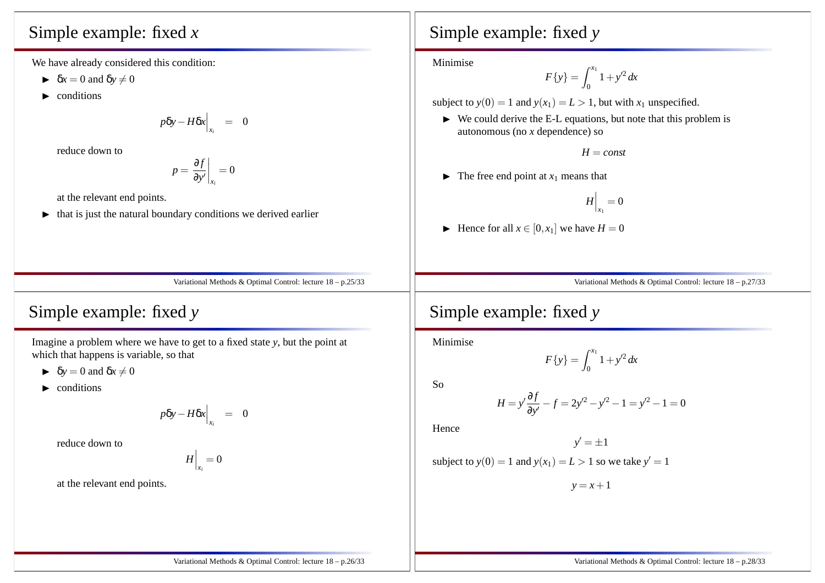# Simple example: fixed *<sup>x</sup>*

We have already considered this condition:

- $\blacktriangleright$   $\delta x = 0$  and  $\delta y \neq 0$
- $\blacktriangleright$  conditions

$$
p\delta y - H\delta x\Big|_{x_i} = 0
$$

reduce down to

$$
p = \frac{\partial f}{\partial y'}\bigg|_{x_i} = 0
$$

at the relevant end points.

 $\blacktriangleright$  that is just the natural boundary conditions we derived earlier

# Simple example: fixed *<sup>y</sup>*

Minimise

$$
F\{y\} = \int_0^{x_1} 1 + y'^2 \, dx
$$

subject to  $y(0) = 1$  and  $y(x_1) = L > 1$ , but with  $x_1$  unspecified.

 $\triangleright$  We could derive the E-L equations, but note that this problem is autonomous (no *<sup>x</sup>* dependence) so

*H* <sup>=</sup> *const*

 $\blacktriangleright$  The free end point at  $x_1$  means that

$$
H\Big|_{x_1}=0
$$

 $\blacktriangleright$  Hence for all  $x \in [0, x_1]$  we have  $H = 0$ 

Variational Methods & Optimal Control: lecture 18 – p.27/33

# Simple example: fixed *<sup>y</sup>*

Imagine <sup>a</sup> problem where we have to ge<sup>t</sup> to <sup>a</sup> fixed state *<sup>y</sup>*, but the point at which that happens is variable, so that

 $\blacktriangleright$   $\delta y = 0$  and  $\delta x \neq 0$ 

 $\blacktriangleright$  conditions

$$
p\delta y - H\delta x\Big|_{x_i} = 0
$$

reduce down to

 $H\bigg|_{x_i}=0$ 

at the relevant end points.

Simple example: fixed *<sup>y</sup>*

Minimise

$$
F\{y\} = \int_0^{x_1} 1 + y'^2 dx
$$

So

$$
H = y' \frac{\partial f}{\partial y'} - f = 2y'^2 - y'^2 - 1 = y'^2 - 1 = 0
$$

Hence

$$
y' = \pm 1
$$

subject to 
$$
y(0) = 1
$$
 and  $y(x_1) = L > 1$  so we take  $y' = 1$ 

*y* <sup>=</sup> *<sup>x</sup>*+<sup>1</sup>

Variational Methods & Optimal Control: lecture 18 – p.25/33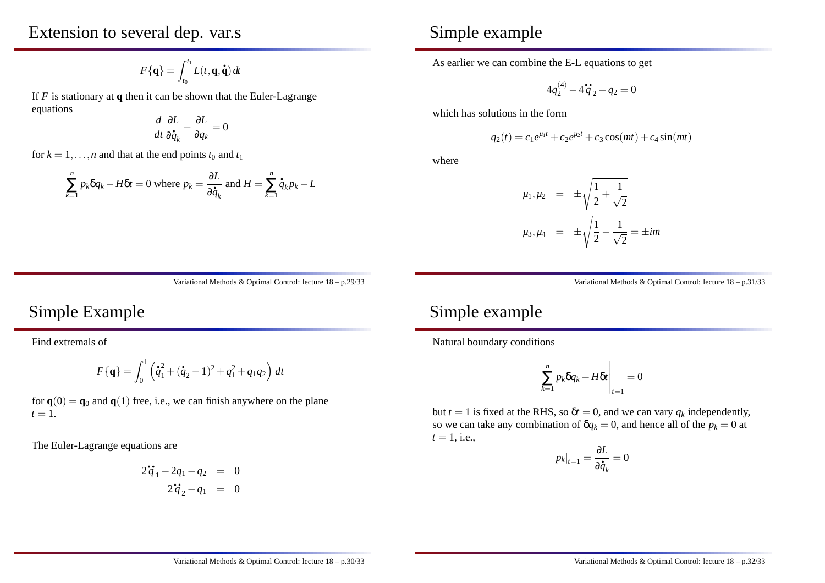Extension to several dep. var.s

$$
F\{\mathbf{q}\} = \int_{t_0}^{t_1} L(t, \mathbf{q}, \dot{\mathbf{q}}) dt
$$

If *<sup>F</sup>* is stationary at **<sup>q</sup>** then it can be shown that the Euler-Lagrange equations

$$
\frac{d}{dt}\frac{\partial L}{\partial \dot{q}_k} - \frac{\partial L}{\partial q_k} = 0
$$

for  $k = 1, ..., n$  and that at the end points  $t_0$  and  $t_1$ 

$$
\sum_{k=1}^{n} p_k \delta q_k - H \delta t = 0
$$
 where  $p_k = \frac{\partial L}{\partial \dot{q}_k}$  and  $H = \sum_{k=1}^{n} \dot{q}_k p_k - L$ 

Variational Methods & Optimal Control: lecture 18 – p.29/33

#### Simple Example

Find extremals of

$$
F\{\mathbf{q}\} = \int_0^1 \left(\dot{q}_1^2 + (\dot{q}_2 - 1)^2 + q_1^2 + q_1 q_2\right) dt
$$

for  $\mathbf{q}(0) = \mathbf{q}_0$  and  $\mathbf{q}(1)$  free, i.e., we can finish anywhere on the plane  $t = 1$ .

The Euler-Lagrange equations are

$$
2\ddot{q}_1 - 2q_1 - q_2 = 0
$$
  

$$
2\ddot{q}_2 - q_1 = 0
$$

#### Simple example

As earlier we can combine the E-L equations to ge<sup>t</sup>

$$
4q_2^{(4)} - 4\dot{q}_2 - q_2 = 0
$$

which has solutions in the form

$$
q_2(t) = c_1 e^{\mu_1 t} + c_2 e^{\mu_2 t} + c_3 \cos(mt) + c_4 \sin(mt)
$$

where

$$
\mu_1, \mu_2 = \pm \sqrt{\frac{1}{2} + \frac{1}{\sqrt{2}}}
$$
  

$$
\mu_3, \mu_4 = \pm \sqrt{\frac{1}{2} - \frac{1}{\sqrt{2}}} = \pm im
$$

Variational Methods & Optimal Control: lecture 18 – p.31/33

#### Simple example

Natural boundary conditions

$$
\sum_{k=1}^n p_k \delta q_k - H \delta t \Bigg|_{t=1} = 0
$$

but  $t = 1$  is fixed at the RHS, so  $\delta t = 0$ , and we can vary  $q_k$  independently, so we can take any combination of  $\delta q_k = 0$ , and hence all of the  $p_k = 0$  at  $t = 1$ , i.e.,

$$
p_k|_{t=1} = \frac{\partial L}{\partial \dot{q}_k} = 0
$$

Variational Methods & Optimal Control: lecture 18 – p.32/33